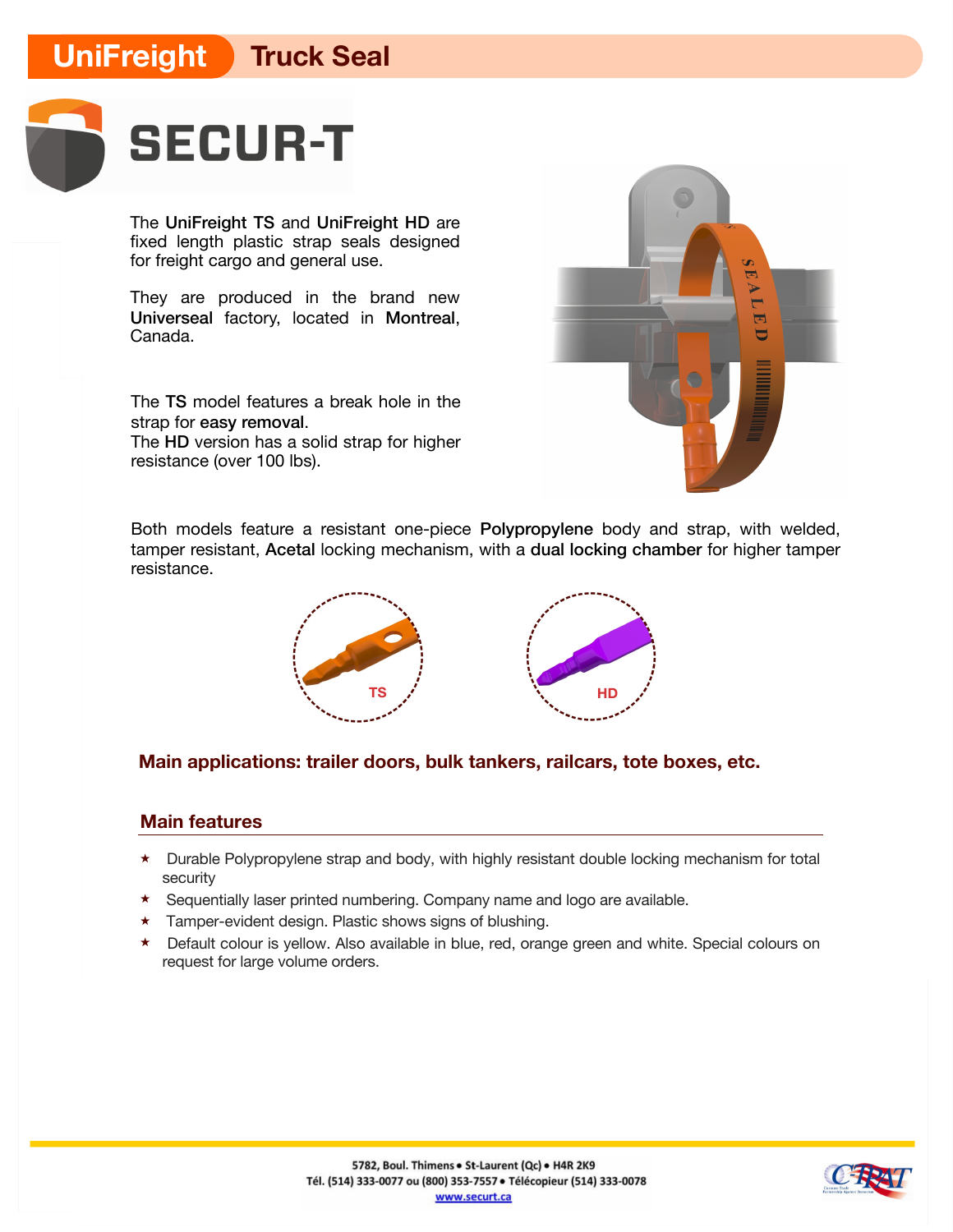## **UniFreight Truck Seal**



The UniFreight TS and UniFreight HD are fixed length plastic strap seals designed for freight cargo and general use.

They are produced in the brand new Universeal factory, located in Montreal, Canada.

The TS model features a break hole in the strap for easy removal.

The HD version has a solid strap for higher resistance (over 100 lbs).



Both models feature a resistant one-piece Polypropylene body and strap, with welded, tamper resistant, Acetal locking mechanism, with a dual locking chamber for higher tamper resistance.



## **Main applications: trailer doors, bulk tankers, railcars, tote boxes, etc.**

### **Main features**

- ★ Durable Polypropylene strap and body, with highly resistant double locking mechanism for total security
- ★ Sequentially laser printed numbering. Company name and logo are available.
- ★ Tamper-evident design. Plastic shows signs of blushing.
- ★ Default colour is yellow. Also available in blue, red, orange green and white. Special colours on request for large volume orders.